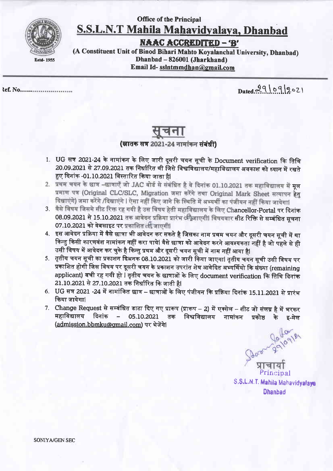## **Office of the Principal** S.S.L.N.T Mahila Mahavidyalaya, Dhanbad



**NAAC ACCREDITED - 'B'** 

(A Constituent Unit of Binod Bihari Mahto Koyalanchal University, Dhanbad) Dhanbad - 826001 (Jharkhand) Email Id-sslntmmdhan@gmail.com

tef. No............................

Dated 29/09/2021

## (स्रातक सत्र 2021-24 नामांकन संबंधी)

- 1. UG सत्र 2021-24 के नामांकन के लिए जारी दूसरी चयन सूची के Document verification कि तिथि 20.09.2021 से 27.09.2021 तक निर्धारित थी जिसे विश्वविद्यालय/महाविद्यालय अवकाश को ध्यान में रखते हुए दिनांक -01.10.2021 विस्तारित किया जाता हैl
- 2. प्रथम चयन के छात्र -छात्राएँ जो JAC बोर्ड से संबंधित है वे दिनांक 01.10.2021 तक महाविद्यालय में मूल प्रमाण पत्र (Original CLC/SLC, Migration जमा करेंगे तथा Original Mark Sheet सत्यापन हेतु दिखाएंगे) जमा करेंगे /दिखाएंगे l ऐसा नहीं किए जाने कि स्थिति में अभ्यर्थी का पंजीयन नहीं किया जायेगा।
- 3. वैसे विषय जिसमे सीट रिक्त रह गयी है उस विषय हेती महाविद्यालय के लिए Chancellor-Portal पर दिनांक 08.09.2021 से 15.10.2021 तक आवेदन प्रक्रिया प्रारंभ अभिजाएगी। विषयवार सीट रिक्ति से सम्बंधित सूचना 07.10.2021 को वेबसाइट पर प्रकाशित सी जाएगी।
- 4. इस आवेदन प्रक्रिया में वैसे छात्रा भी आवेदन कर सकते है जिसका नाम प्रथम चयन और दूसरी चयन सूची में था किन्तु किसी कारणवंश नामांकन नहीं करा पाये। वैसे छात्रा को आवेदन करने आवश्यकता नहीं है जो पहले से ही उसी विषय में आवेदन कर चुके है किन्तु प्रथम और दूसरी चयन सूची में नाम नहीं आया है|
- 5. तृतीय चयन सूची का प्रकाशन दिअनक 08.10.2021 को जारी किया जाएगा। तृतीय चयन सूची उसी विषय पर प्रकाशित होगी जिस विषय पर दूसरी चयन के प्रकाशन उपरांत शेष आवेदित अभ्यर्थियो कि संख्या (remaining applicant) बची रह गयी हो । तृतीय चयन के छात्राओं के लिए document verification कि तिथि दिनांक 21.10.2021 से 27.10.2021 तक निर्धारित कि जाती है।
- 6. UG सत्र 2021 -24 में नामांकित छात्र छात्राओं के लिए पंजीयन कि प्रक्रिया दिनांक 15.11.2021 से प्रारंभ किया जायेगा।
- 7. Change Request से सम्बंधित डाटा दिए गए प्रारूप (प्रारूप 2) में एक्सेल शीट जो संलग्न है में भरकर महाविद्यालय दिनांक – 05.10.2021 तक विश्वविद्यालय नामांकन प्रकोष्ठ के इ-मेल (admission.bbmku@gmail.com) पर भेजेंगे

320-0-2910918 Principal S.S.L.N.T. Mahila Mahavidyalaya

**SONIYA/GEN SEC**